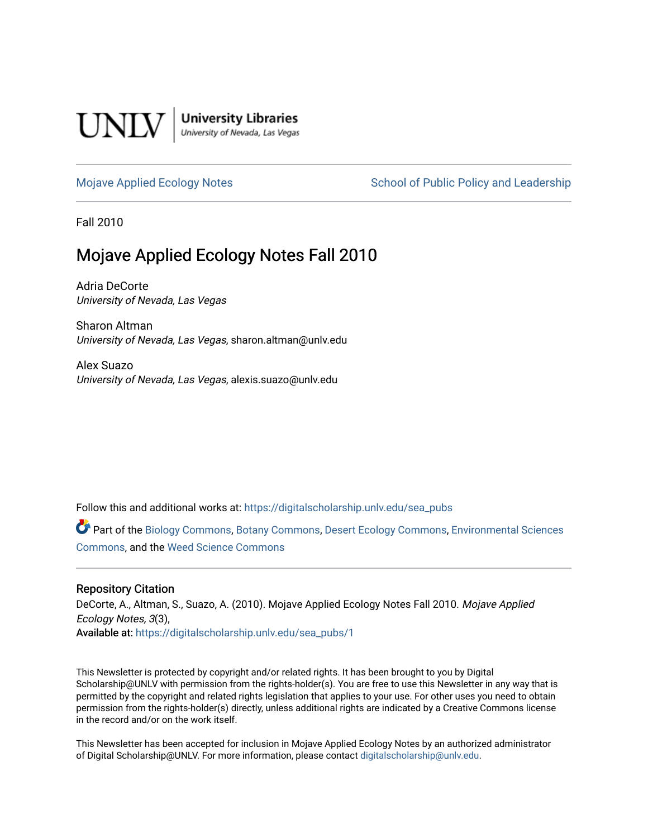

**University Libraries**<br>University of Nevada, Las Vegas

[Mojave Applied Ecology Notes](https://digitalscholarship.unlv.edu/sea_pubs) School of Public Policy and Leadership

Fall 2010

# Mojave Applied Ecology Notes Fall 2010

Adria DeCorte University of Nevada, Las Vegas

Sharon Altman University of Nevada, Las Vegas, sharon.altman@unlv.edu

Alex Suazo University of Nevada, Las Vegas, alexis.suazo@unlv.edu

Follow this and additional works at: [https://digitalscholarship.unlv.edu/sea\\_pubs](https://digitalscholarship.unlv.edu/sea_pubs?utm_source=digitalscholarship.unlv.edu%2Fsea_pubs%2F1&utm_medium=PDF&utm_campaign=PDFCoverPages) 

Part of the [Biology Commons,](http://network.bepress.com/hgg/discipline/41?utm_source=digitalscholarship.unlv.edu%2Fsea_pubs%2F1&utm_medium=PDF&utm_campaign=PDFCoverPages) [Botany Commons,](http://network.bepress.com/hgg/discipline/104?utm_source=digitalscholarship.unlv.edu%2Fsea_pubs%2F1&utm_medium=PDF&utm_campaign=PDFCoverPages) [Desert Ecology Commons](http://network.bepress.com/hgg/discipline/1261?utm_source=digitalscholarship.unlv.edu%2Fsea_pubs%2F1&utm_medium=PDF&utm_campaign=PDFCoverPages), [Environmental Sciences](http://network.bepress.com/hgg/discipline/167?utm_source=digitalscholarship.unlv.edu%2Fsea_pubs%2F1&utm_medium=PDF&utm_campaign=PDFCoverPages)  [Commons](http://network.bepress.com/hgg/discipline/167?utm_source=digitalscholarship.unlv.edu%2Fsea_pubs%2F1&utm_medium=PDF&utm_campaign=PDFCoverPages), and the [Weed Science Commons](http://network.bepress.com/hgg/discipline/1267?utm_source=digitalscholarship.unlv.edu%2Fsea_pubs%2F1&utm_medium=PDF&utm_campaign=PDFCoverPages)

### Repository Citation

DeCorte, A., Altman, S., Suazo, A. (2010). Mojave Applied Ecology Notes Fall 2010. Mojave Applied Ecology Notes, 3(3), Available at: [https://digitalscholarship.unlv.edu/sea\\_pubs/1](https://digitalscholarship.unlv.edu/sea_pubs/1) 

This Newsletter is protected by copyright and/or related rights. It has been brought to you by Digital Scholarship@UNLV with permission from the rights-holder(s). You are free to use this Newsletter in any way that is permitted by the copyright and related rights legislation that applies to your use. For other uses you need to obtain permission from the rights-holder(s) directly, unless additional rights are indicated by a Creative Commons license in the record and/or on the work itself.

This Newsletter has been accepted for inclusion in Mojave Applied Ecology Notes by an authorized administrator of Digital Scholarship@UNLV. For more information, please contact [digitalscholarship@unlv.edu.](mailto:digitalscholarship@unlv.edu)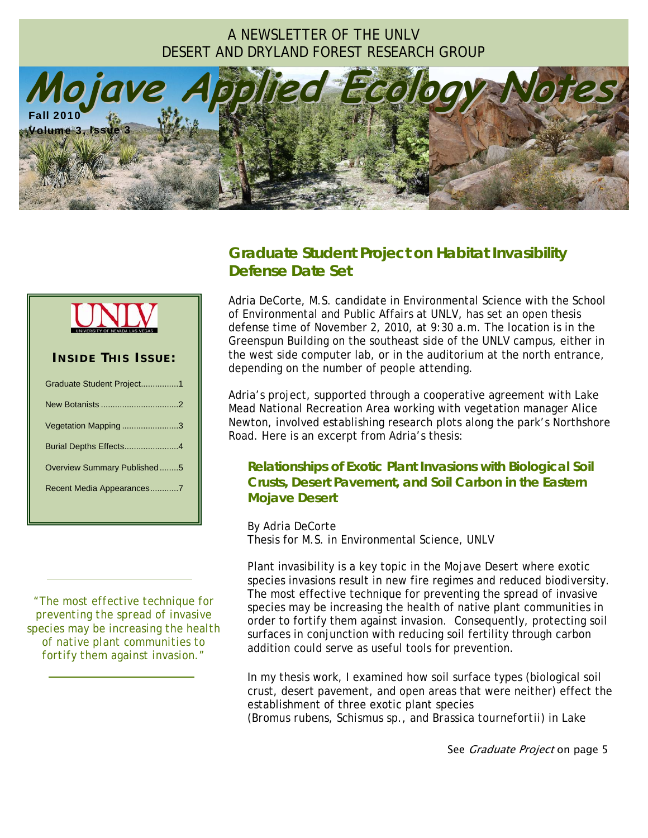# A NEWSLETTER OF THE UNLV DESERT AND DRYLAND FOREST RESEARCH GROUP



# *Graduate Student Project on Habitat Invasibility Defense Date Set*



# **I NSIDE T HIS I SSUE :**  Graduate Student Project................1 New Botanists .................................2 Vegetation Mapping ........................3 Burial Depths Effects.......................4 Overview Summary Published........5 Recent Media Appearances............7

*"The most effective technique for preventing the spread of invasive species may be increasing the health of native plant communities to fortify them against invasion."* 

 *.*

 *.*

Adria DeCorte, M.S. candidate in Environmental Science with the School of Environmental and Public Affairs at UNLV, has set an open thesis defense time of November 2, 2010, at 9:30 a.m. The location is in the Greenspun Building on the southeast side of the UNLV campus, either in the west side computer lab, or in the auditorium at the north entrance, depending on the number of people attending.

Adria's project, supported through a cooperative agreement with Lake Mead National Recreation Area working with vegetation manager Alice Newton, involved establishing research plots along the park's Northshore Road. Here is an excerpt from Adria's thesis:

### **Relationships of Exotic Plant Invasions with Biological Soil Crusts, Desert Pavement, and Soil Carbon in the Eastern Mojave Desert**

By Adria DeCorte Thesis for M.S. in Environmental Science, UNLV

Plant invasibility is a key topic in the Mojave Desert where exotic species invasions result in new fire regimes and reduced biodiversity. The most effective technique for preventing the spread of invasive species may be increasing the health of native plant communities in order to fortify them against invasion. Consequently, protecting soil surfaces in conjunction with reducing soil fertility through carbon addition could serve as useful tools for prevention.

In my thesis work, I examined how soil surface types (biological soil crust, desert pavement, and open areas that were neither) effect the establishment of three exotic plant species (*Bromus rubens*, *Schismus* sp., and *Brassica tournefortii*) in Lake

See *Graduate Project* on page 5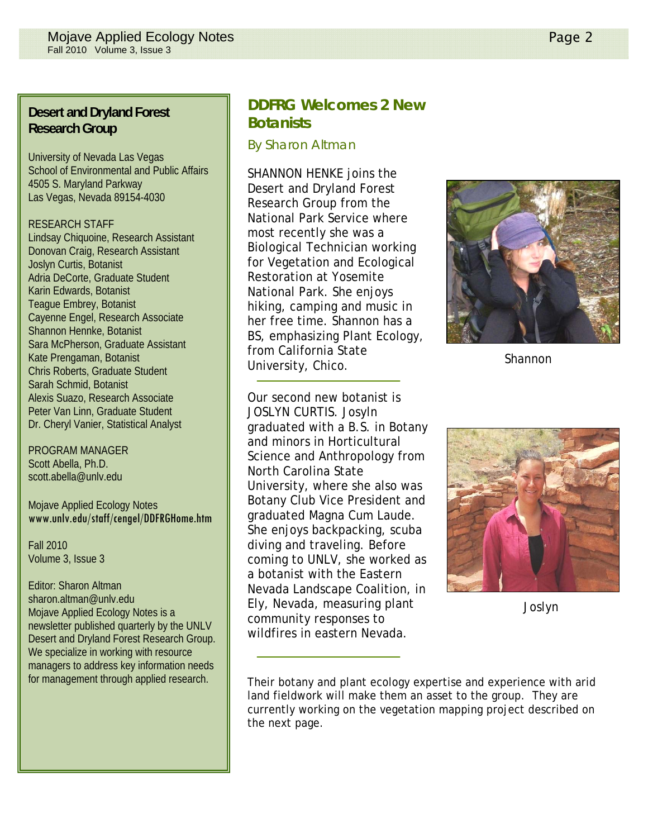### **Desert and Dryland Forest Research Group**

University of Nevada Las Vegas School of Environmental and Public Affairs 4505 S. Maryland Parkway Las Vegas, Nevada 89154-4030

#### RESEARCH STAFF

Lindsay Chiquoine, Research Assistant Donovan Craig, Research Assistant Joslyn Curtis, Botanist Adria DeCorte, Graduate Student Karin Edwards, Botanist Teague Embrey, Botanist Cayenne Engel, Research Associate Shannon Hennke, Botanist Sara McPherson, Graduate Assistant Kate Prengaman, Botanist Chris Roberts, Graduate Student Sarah Schmid, Botanist Alexis Suazo, Research Associate Peter Van Linn, Graduate Student Dr. Cheryl Vanier, Statistical Analyst

PROGRAM MANAGER Scott Abella, Ph.D. scott.abella@unlv.edu

Mojave Applied Ecology Notes www.unlv.edu/staff/cengel/DDFRGHome.htm

Fall 2010 Volume 3, Issue 3

Editor: Sharon Altman sharon.altman@unlv.edu Mojave Applied Ecology Notes is a newsletter published quarterly by the UNLV Desert and Dryland Forest Research Group. We specialize in working with resource managers to address key information needs for management through applied research.

# **DDFRG Welcomes 2 New Botanists**

*By Sharon Altman* 

SHANNON HENKE joins the Desert and Dryland Forest Research Group from the National Park Service where most recently she was a Biological Technician working for Vegetation and Ecological Restoration at Yosemite National Park. She enjoys hiking, camping and music in her free time. Shannon has a BS, emphasizing Plant Ecology, from California State University, Chico.

Our second new botanist is JOSLYN CURTIS. Josyln graduated with a B.S. in Botany and minors in Horticultural Science and Anthropology from North Carolina State University, where she also was Botany Club Vice President and graduated Magna Cum Laude. She enjoys backpacking, scuba diving and traveling. Before coming to UNLV, she worked as a botanist with the Eastern Nevada Landscape Coalition, in Ely, Nevada, measuring plant community responses to wildfires in eastern Nevada.



Shannon



Joslyn

Their botany and plant ecology expertise and experience with arid land fieldwork will make them an asset to the group. They are currently working on the vegetation mapping project described on the next page.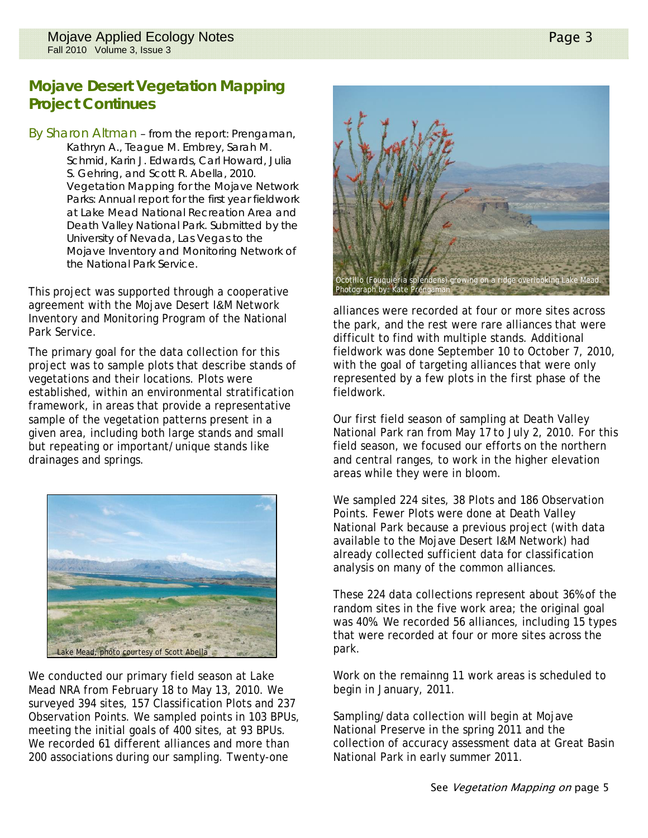# **Mojave Desert Vegetation Mapping Project Continues**

By Sharon Altman – from the report: Prengaman, Kathryn A., Teague M. Embrey, Sarah M. Schmid, Karin J. Edwards, Carl Howard, Julia S. Gehring, and Scott R. Abella, 2010. Vegetation Mapping for the Mojave Network Parks: Annual report for the first year fieldwork at Lake Mead National Recreation Area and Death Valley National Park. Submitted by the University of Nevada, Las Vegas to the Mojave Inventory and Monitoring Network of the National Park Service.

This project was supported through a cooperative agreement with the Mojave Desert I&M Network Inventory and Monitoring Program of the National Park Service.

The primary goal for the data collection for this project was to sample plots that describe stands of vegetations and their locations. Plots were established, within an environmental stratification framework, in areas that provide a representative sample of the vegetation patterns present in a given area, including both large stands and small but repeating or important/unique stands like drainages and springs.



We conducted our primary field season at Lake Mead NRA from February 18 to May 13, 2010. We surveyed 394 sites, 157 Classification Plots and 237 Observation Points. We sampled points in 103 BPUs, meeting the initial goals of 400 sites, at 93 BPUs. We recorded 61 different alliances and more than 200 associations during our sampling. Twenty-one



alliances were recorded at four or more sites across the park, and the rest were rare alliances that were difficult to find with multiple stands. Additional fieldwork was done September 10 to October 7, 2010, with the goal of targeting alliances that were only represented by a few plots in the first phase of the fieldwork.

Our first field season of sampling at Death Valley National Park ran from May 17 to July 2, 2010. For this field season, we focused our efforts on the northern and central ranges, to work in the higher elevation areas while they were in bloom.

We sampled 224 sites, 38 Plots and 186 Observation Points. Fewer Plots were done at Death Valley National Park because a previous project (with data available to the Mojave Desert I&M Network) had already collected sufficient data for classification analysis on many of the common alliances.

These 224 data collections represent about 36% of the random sites in the five work area; the original goal was 40%. We recorded 56 alliances, including 15 types that were recorded at four or more sites across the park.

Work on the remainng 11 work areas is scheduled to begin in January, 2011.

Sampling/data collection will begin at Mojave National Preserve in the spring 2011 and the collection of accuracy assessment data at Great Basin National Park in early summer 2011.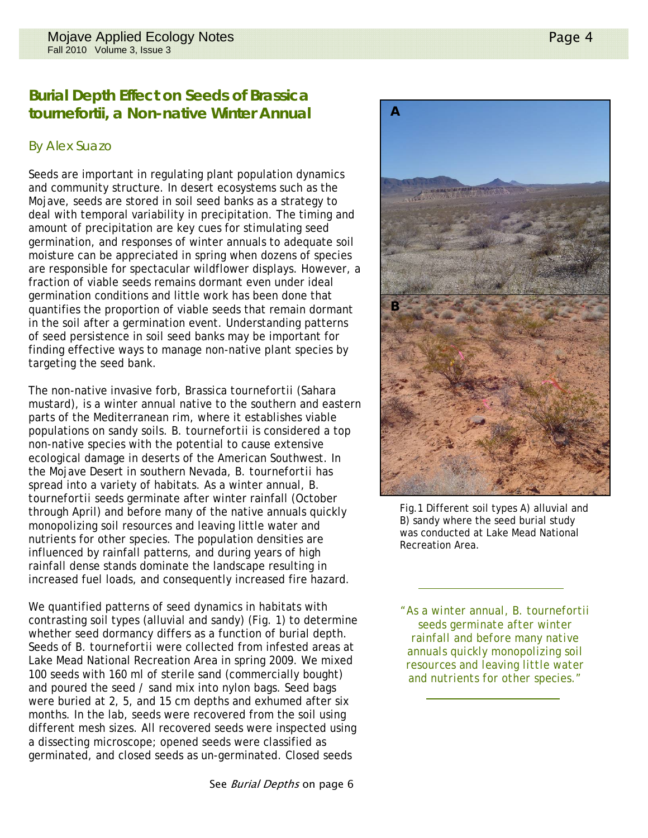### **Burial Depth Effect on Seeds of Brassica tournefortii, a Non-native Winter Annual A**

### *By Alex Suazo*

Seeds are important in regulating plant population dynamics and community structure. In desert ecosystems such as the Mojave, seeds are stored in soil seed banks as a strategy to deal with temporal variability in precipitation. The timing and amount of precipitation are key cues for stimulating seed germination, and responses of winter annuals to adequate soil moisture can be appreciated in spring when dozens of species are responsible for spectacular wildflower displays. However, a fraction of viable seeds remains dormant even under ideal germination conditions and little work has been done that quantifies the proportion of viable seeds that remain dormant in the soil after a germination event. Understanding patterns of seed persistence in soil seed banks may be important for finding effective ways to manage non-native plant species by targeting the seed bank.

The non-native invasive forb, *Brassica tournefortii* (Sahara mustard), is a winter annual native to the southern and eastern parts of the Mediterranean rim, where it establishes viable populations on sandy soils. *B. tournefortii* is considered a top non-native species with the potential to cause extensive ecological damage in deserts of the American Southwest. In the Mojave Desert in southern Nevada, *B*. *tournefortii* has spread into a variety of habitats. As a winter annual, *B. tournefortii* seeds germinate after winter rainfall (October through April) and before many of the native annuals quickly monopolizing soil resources and leaving little water and nutrients for other species. The population densities are influenced by rainfall patterns, and during years of high rainfall dense stands dominate the landscape resulting in increased fuel loads, and consequently increased fire hazard.

We quantified patterns of seed dynamics in habitats with contrasting soil types (alluvial and sandy) (Fig. 1) to determine whether seed dormancy differs as a function of burial depth. Seeds of *B. tournefortii* were collected from infested areas at Lake Mead National Recreation Area in spring 2009. We mixed 100 seeds with 160 ml of sterile sand (commercially bought) and poured the seed / sand mix into nylon bags. Seed bags were buried at 2, 5, and 15 cm depths and exhumed after six months. In the lab, seeds were recovered from the soil using different mesh sizes. All recovered seeds were inspected using a dissecting microscope; opened seeds were classified as germinated, and closed seeds as un-germinated. Closed seeds



Fig.1 Different soil types A) alluvial and B) sandy where the seed burial study was conducted at Lake Mead National Recreation Area.

 *.*

*"As a winter annual, B. tournefortii seeds germinate after winter rainfall and before many native annuals quickly monopolizing soil resources and leaving little water and nutrients for other species."* 

 *.*

See Burial Depths on page 6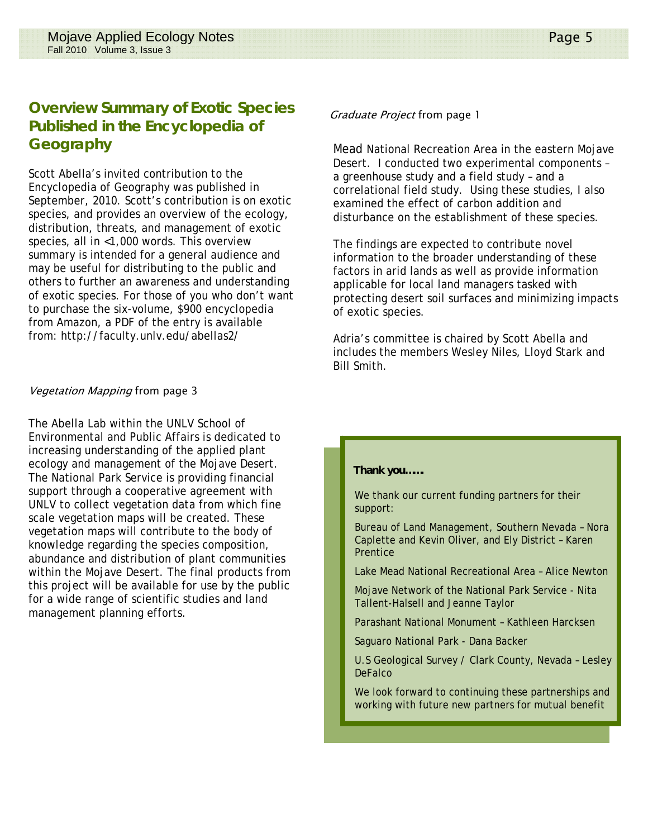# **Overview Summary of Exotic Species Published in the Encyclopedia of Geography**

Scott Abella's invited contribution to the Encyclopedia of Geography was published in September, 2010. Scott's contribution is on exotic species, and provides an overview of the ecology, distribution, threats, and management of exotic species, all in <1,000 words. This overview summary is intended for a general audience and may be useful for distributing to the public and others to further an awareness and understanding of exotic species. For those of you who don't want to purchase the six-volume, \$900 encyclopedia from Amazon, a PDF of the entry is available from: http://faculty.unlv.edu/abellas2/

### Vegetation Mapping from page 3

The Abella Lab within the UNLV School of Environmental and Public Affairs is dedicated to increasing understanding of the applied plant ecology and management of the Mojave Desert. The National Park Service is providing financial support through a cooperative agreement with UNLV to collect vegetation data from which fine scale vegetation maps will be created. These vegetation maps will contribute to the body of knowledge regarding the species composition, abundance and distribution of plant communities within the Mojave Desert. The final products from this project will be available for use by the public for a wide range of scientific studies and land management planning efforts.

#### Graduate Project from page 1

Mead National Recreation Area in the eastern Mojave Desert. I conducted two experimental components – a greenhouse study and a field study – and a correlational field study. Using these studies, I also examined the effect of carbon addition and disturbance on the establishment of these species.

The findings are expected to contribute novel information to the broader understanding of these factors in arid lands as well as provide information applicable for local land managers tasked with protecting desert soil surfaces and minimizing impacts of exotic species.

Adria's committee is chaired by Scott Abella and includes the members Wesley Niles, Lloyd Stark and Bill Smith.

#### **Thank you…….**

We thank our current funding partners for their support:

Bureau of Land Management, Southern Nevada – Nora Caplette and Kevin Oliver, and Ely District – Karen Prentice

Lake Mead National Recreational Area – Alice Newton

Mojave Network of the National Park Service - Nita Tallent-Halsell and Jeanne Taylor

Parashant National Monument – Kathleen Harcksen

Saguaro National Park - Dana Backer

U.S Geological Survey / Clark County, Nevada – Lesley **DeFalco** 

We look forward to continuing these partnerships and working with future new partners for mutual benefit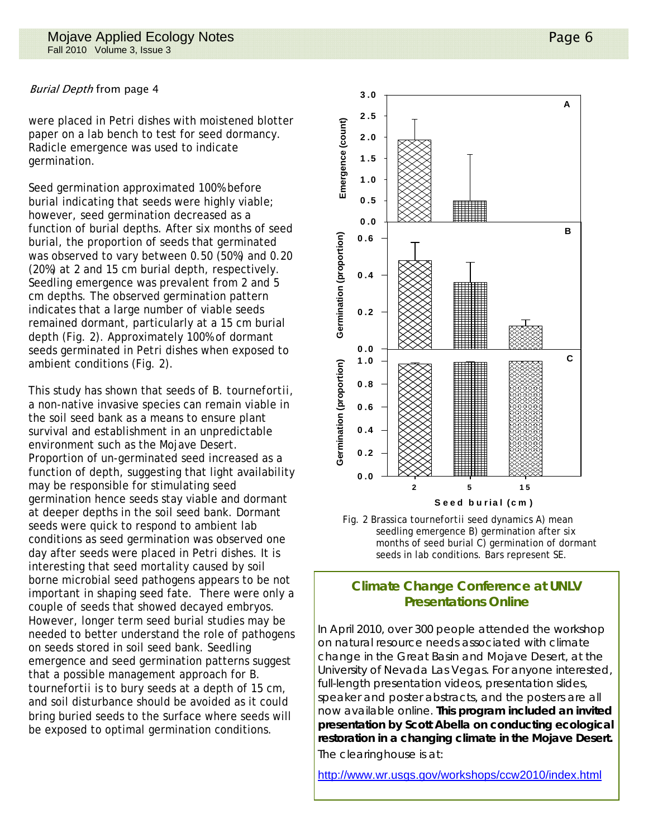#### Burial Depth from page 4

were placed in Petri dishes with moistened blotter paper on a lab bench to test for seed dormancy. Radicle emergence was used to indicate germination.

Seed germination approximated 100% before burial indicating that seeds were highly viable; however, seed germination decreased as a function of burial depths. After six months of seed burial, the proportion of seeds that germinated was observed to vary between 0.50 (50%) and 0.20 (20%) at 2 and 15 cm burial depth, respectively. Seedling emergence was prevalent from 2 and 5 cm depths. The observed germination pattern indicates that a large number of viable seeds remained dormant, particularly at a 15 cm burial depth (Fig. 2). Approximately 100% of dormant seeds germinated in Petri dishes when exposed to ambient conditions (Fig. 2).

This study has shown that seeds of *B. tournefortii*, a non-native invasive species can remain viable in the soil seed bank as a means to ensure plant survival and establishment in an unpredictable environment such as the Mojave Desert. Proportion of un-germinated seed increased as a function of depth, suggesting that light availability may be responsible for stimulating seed germination hence seeds stay viable and dormant at deeper depths in the soil seed bank. Dormant seeds were quick to respond to ambient lab conditions as seed germination was observed one day after seeds were placed in Petri dishes. It is interesting that seed mortality caused by soil borne microbial seed pathogens appears to be not important in shaping seed fate. There were only a couple of seeds that showed decayed embryos. However, longer term seed burial studies may be needed to better understand the role of pathogens on seeds stored in soil seed bank. Seedling emergence and seed germination patterns suggest that a possible management approach for *B. tournefortii* is to bury seeds at a depth of 15 cm, and soil disturbance should be avoided as it could bring buried seeds to the surface where seeds will be exposed to optimal germination conditions.





### **Climate Change Conference at UNLV Presentations Online**

In April 2010, over 300 people attended the workshop on natural resource needs associated with climate change in the Great Basin and Mojave Desert, at the University of Nevada Las Vegas. For anyone interested, full-length presentation videos, presentation slides, speaker and poster abstracts, and the posters are all now available online. **This program included an invited presentation by Scott Abella on conducting ecological restoration in a changing climate in the Mojave Desert.**  The clearinghouse is at:

http://www.wr.usgs.gov/workshops/ccw2010/index.html